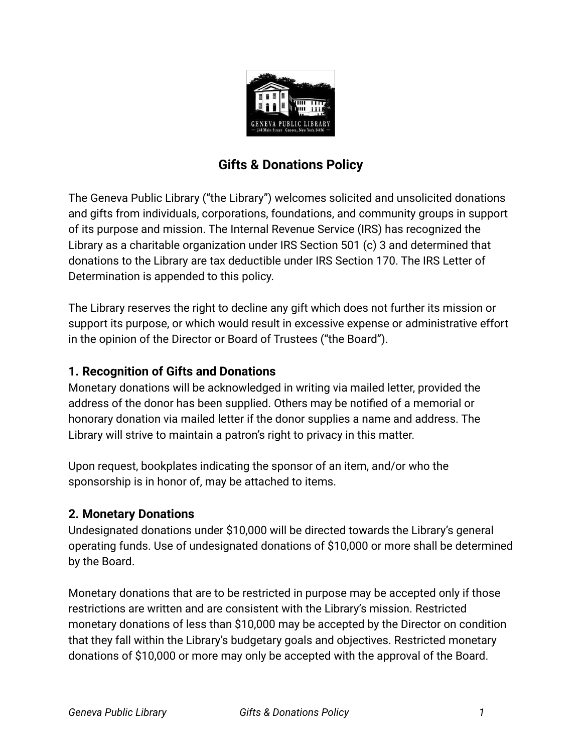

# **Gifts & Donations Policy**

The Geneva Public Library ("the Library") welcomes solicited and unsolicited donations and gifts from individuals, corporations, foundations, and community groups in support of its purpose and mission. The Internal Revenue Service (IRS) has recognized the Library as a charitable organization under IRS Section 501 (c) 3 and determined that donations to the Library are tax deductible under IRS Section 170. The IRS Letter of Determination is appended to this policy.

The Library reserves the right to decline any gift which does not further its mission or support its purpose, or which would result in excessive expense or administrative effort in the opinion of the Director or Board of Trustees ("the Board").

#### **1. Recognition of Gifts and Donations**

Monetary donations will be acknowledged in writing via mailed letter, provided the address of the donor has been supplied. Others may be notified of a memorial or honorary donation via mailed letter if the donor supplies a name and address. The Library will strive to maintain a patron's right to privacy in this matter.

Upon request, bookplates indicating the sponsor of an item, and/or who the sponsorship is in honor of, may be attached to items.

#### **2. Monetary Donations**

Undesignated donations under \$10,000 will be directed towards the Library's general operating funds. Use of undesignated donations of \$10,000 or more shall be determined by the Board.

Monetary donations that are to be restricted in purpose may be accepted only if those restrictions are written and are consistent with the Library's mission. Restricted monetary donations of less than \$10,000 may be accepted by the Director on condition that they fall within the Library's budgetary goals and objectives. Restricted monetary donations of \$10,000 or more may only be accepted with the approval of the Board.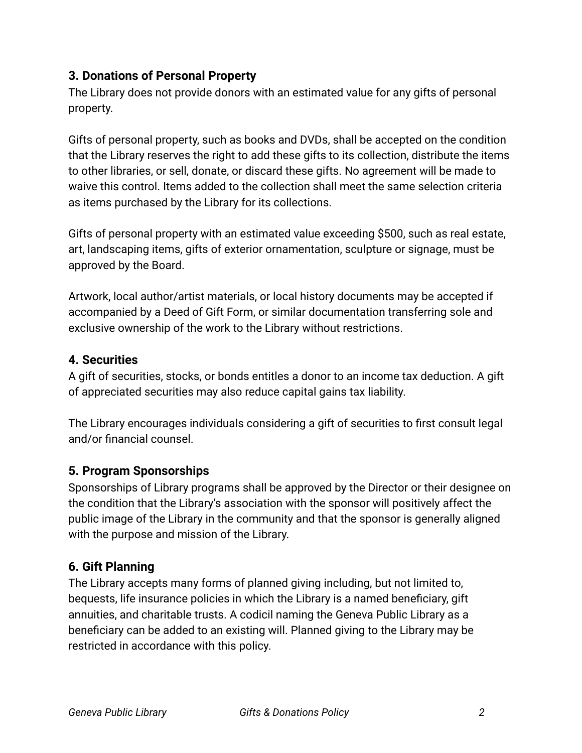### **3. Donations of Personal Property**

The Library does not provide donors with an estimated value for any gifts of personal property.

Gifts of personal property, such as books and DVDs, shall be accepted on the condition that the Library reserves the right to add these gifts to its collection, distribute the items to other libraries, or sell, donate, or discard these gifts. No agreement will be made to waive this control. Items added to the collection shall meet the same selection criteria as items purchased by the Library for its collections.

Gifts of personal property with an estimated value exceeding \$500, such as real estate, art, landscaping items, gifts of exterior ornamentation, sculpture or signage, must be approved by the Board.

Artwork, local author/artist materials, or local history documents may be accepted if accompanied by a Deed of Gift Form, or similar documentation transferring sole and exclusive ownership of the work to the Library without restrictions.

#### **4. Securities**

A gift of securities, stocks, or bonds entitles a donor to an income tax deduction. A gift of appreciated securities may also reduce capital gains tax liability.

The Library encourages individuals considering a gift of securities to first consult legal and/or financial counsel.

#### **5. Program Sponsorships**

Sponsorships of Library programs shall be approved by the Director or their designee on the condition that the Library's association with the sponsor will positively affect the public image of the Library in the community and that the sponsor is generally aligned with the purpose and mission of the Library.

#### **6. Gift Planning**

The Library accepts many forms of planned giving including, but not limited to, bequests, life insurance policies in which the Library is a named beneficiary, gift annuities, and charitable trusts. A codicil naming the Geneva Public Library as a beneficiary can be added to an existing will. Planned giving to the Library may be restricted in accordance with this policy.